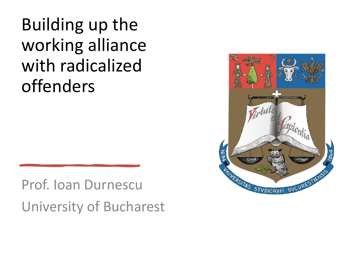Building up the working alliance with radicalized offenders

Prof. Ioan Durnescu University of Bucharest

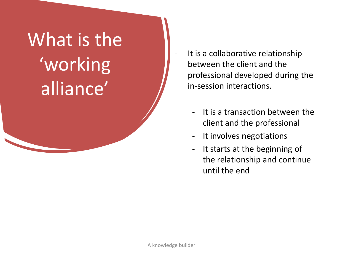# What is the 'working alliance'

- It is a collaborative relationship between the client and the professional developed during the in-session interactions.
	- It is a transaction between the client and the professional
	- It involves negotiations
	- It starts at the beginning of the relationship and continue until the end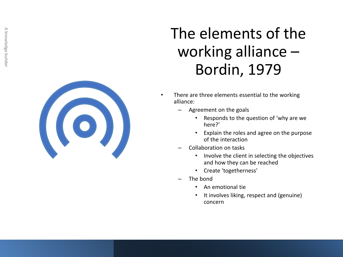

### The elements of the working alliance – Bordin, 1979

- There are three elements essential to the working alliance:
	- Agreement on the goals
		- Responds to the question of 'why are we here?'
		- Explain the roles and agree on the purpose of the interaction
	- Collaboration on tasks
		- Involve the client in selecting the objectives and how they can be reached
		- Create 'togetherness'
	- The bond
		- An emotional tie
		- It involves liking, respect and (genuine) concern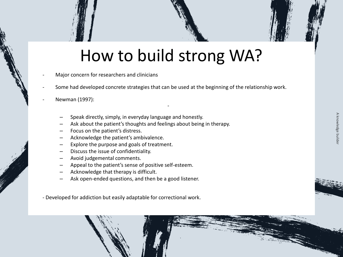### How to build strong WA?

- Major concern for researchers and clinicians
- Some had developed concrete strategies that can be used at the beginning of the relationship work.

-

- Newman (1997):
	- Speak directly, simply, in everyday language and honestly.
	- Ask about the patient's thoughts and feelings about being in therapy.
	- Focus on the patient's distress.
	- Acknowledge the patient's ambivalence.
	- Explore the purpose and goals of treatment.
	- Discuss the issue of confidentiality.
	- Avoid judgemental comments.
	- Appeal to the patient's sense of positive self-esteem.
	- Acknowledge that therapy is difficult.
	- Ask open-ended questions, and then be a good listener.

- Developed for addiction but easily adaptable for correctional work.

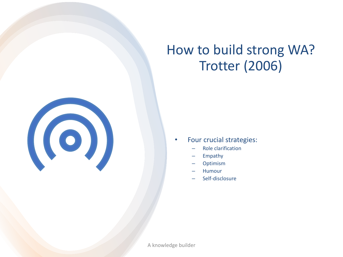

#### How to build strong WA? Trotter (2006)

- Four crucial strategies:
	- Role clarification
	- **Empathy**
	- **Optimism**
	- Humour
	- Self-disclosure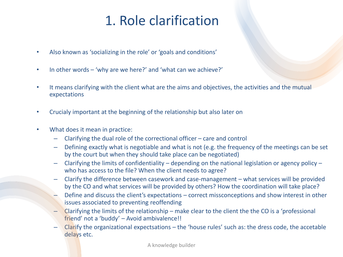#### 1. Role clarification

- Also known as 'socializing in the role' or 'goals and conditions'
- In other words 'why are we here?' and 'what can we achieve?'
- It means clarifying with the client what are the aims and objectives, the activities and the mutual expectations
- Crucialy important at the beginning of the relationship but also later on
- What does it mean in practice:
	- Clarifying the dual role of the correctional officer care and control
	- Defining exactly what is negotiable and what is not (e.g. the frequency of the meetings can be set by the court but when they should take place can be negotiated)
	- Clarifying the limits of confidentiality depending on the national legislation or agency policy who has access to the file? When the client needs to agree?
	- Clarify the difference between casework and case-management what services will be provided by the CO and what services will be provided by others? How the coordination will take place?
	- Define and discuss the client's expectations correct missconceptions and show interest in other issues associated to preventing reoffending
	- Clarifying the limits of the relationship make clear to the client the the CO is a 'professional friend' not a 'buddy' – Avoid ambivalence!!
	- Clarify the organizational expectsations the 'house rules' such as: the dress code, the accetable delays etc.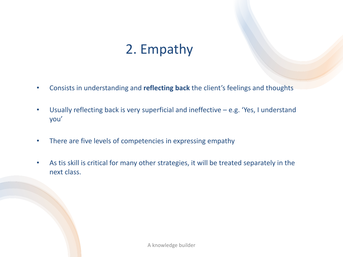#### 2. Empathy

- Consists in understanding and **reflecting back** the client's feelings and thoughts
- Usually reflecting back is very superficial and ineffective e.g. 'Yes, I understand you'
- There are five levels of competencies in expressing empathy
- As tis skill is critical for many other strategies, it will be treated separately in the next class.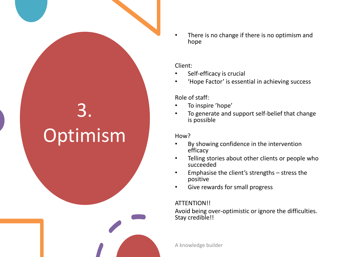# 3. Optimism

There is no change if there is no optimism and hope

Client:

- Self-efficacy is crucial
- 'Hope Factor' is essential in achieving success

Role of staff:

- To inspire 'hope'
- To generate and support self-belief that change is possible

How?

- By showing confidence in the intervention efficacy
- Telling stories about other clients or people who succeeded
- Emphasise the client's strengths stress the positive
- Give rewards for small progress

#### ATTENTION!!

Avoid being over-optimistic or ignore the difficulties. Stay credible!!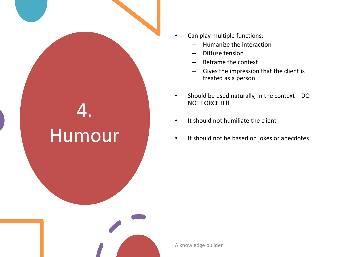# 4. Humour

- Can play multiple functions:
	- Humanize the interaction
	- Diffuse tension
	- Reframe the context
	- Gives the impression that the client is treated as a person
- Should be used naturally, in the context DO NOT FORCE IT!!
- It should not humiliate the client
- It should not be based on jokes or anecdotes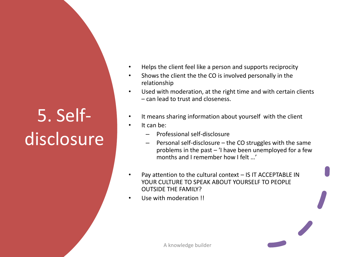### 5. Selfdisclosure

- Helps the client feel like a person and supports reciprocity
- Shows the client the the CO is involved personally in the relationship
- Used with moderation, at the right time and with certain clients – can lead to trust and closeness.
- It means sharing information about yourself with the client
- It can be:
	- Professional self-disclosure
	- Personal self-disclosure the CO struggles with the same problems in the past  $-$  'I have been unemployed for a few months and I remember how I felt …'
- Pay attention to the cultural context  $-$  IS IT ACCEPTABLE IN YOUR CULTURE TO SPEAK ABOUT YOURSELF TO PEOPLE OUTSIDE THE FAMILY?
- Use with moderation !!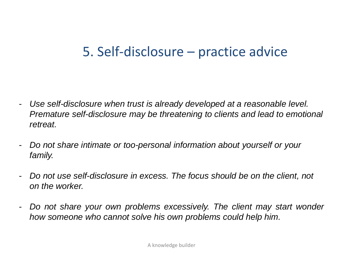#### 5. Self-disclosure – practice advice

- *Use self-disclosure when trust is already developed at a reasonable level. Premature self-disclosure may be threatening to clients and lead to emotional retreat.*
- *Do not share intimate or too-personal information about yourself or your family.*
- *Do not use self-disclosure in excess. The focus should be on the client, not on the worker.*
- *Do not share your own problems excessively. The client may start wonder how someone who cannot solve his own problems could help him.*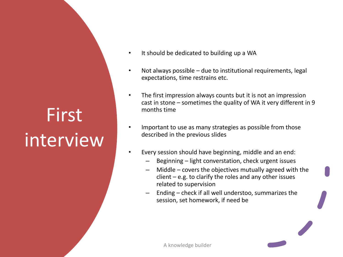# First interview

- It should be dedicated to building up a WA
- Not always possible  $-$  due to institutional requirements, legal expectations, time restrains etc.
- The first impression always counts but it is not an impression cast in stone – sometimes the quality of WA it very different in 9 months time
- Important to use as many strategies as possible from those described in the previous slides
- Every session should have beginning, middle and an end:
	- Beginning light converstation, check urgent issues
	- Middle covers the objectives mutually agreed with the  $client - e.g.$  to clarify the roles and any other issues related to supervision
	- Ending check if all well understoo, summarizes the session, set homework, if need be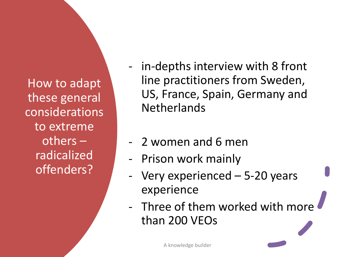How to adapt these general considerations to extreme others – radicalized offenders?

- in-depths interview with 8 front line practitioners from Sweden, US, France, Spain, Germany and **Netherlands**
- 2 women and 6 men
- Prison work mainly
- Very experienced 5-20 years experience
- Three of them worked with more than 200 VEOs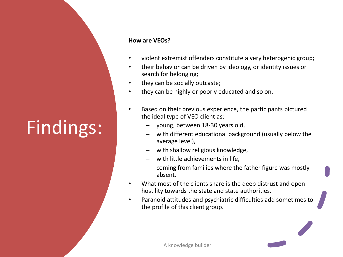# Findings:

#### **How are VEOs?**

- violent extremist offenders constitute a very heterogenic group;
- their behavior can be driven by ideology, or identity issues or search for belonging;
- they can be socially outcaste;
- they can be highly or poorly educated and so on.
- Based on their previous experience, the participants pictured the ideal type of VEO client as:
	- young, between 18-30 years old,
	- with different educational background (usually below the average level),
	- with shallow religious knowledge,
	- with little achievements in life,
	- coming from families where the father figure was mostly absent.
- What most of the clients share is the deep distrust and open hostility towards the state and state authorities.
- Paranoid attitudes and psychiatric difficulties add sometimes to the profile of this client group.

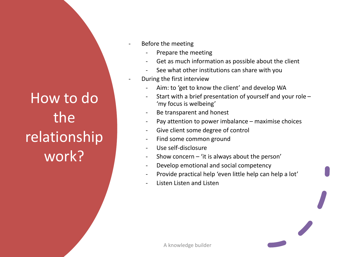### How to do the relationship work?

- Before the meeting
	- Prepare the meeting
	- Get as much information as possible about the client
	- See what other institutions can share with you
- During the first interview
	- Aim: to 'get to know the client' and develop WA
	- Start with a brief presentation of yourself and your role 'my focus is welbeing'
	- Be transparent and honest
	- Pay attention to power imbalance maximise choices
	- Give client some degree of control
	- Find some common ground
	- Use self-disclosure
	- Show concern  $-$  'it is always about the person'
	- Develop emotional and social competency
	- Provide practical help 'even little help can help a lot'
	- Listen Listen and Listen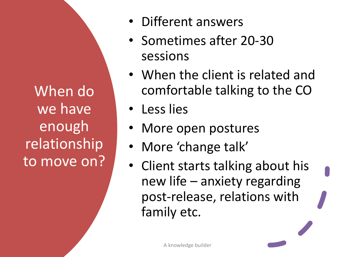When do we have enough relationship to move on?

- Different answers
- Sometimes after 20-30 sessions
- When the client is related and comfortable talking to the CO
- Less lies
- More open postures
- More 'change talk'
- Client starts talking about his new life – anxiety regarding post-release, relations with family etc.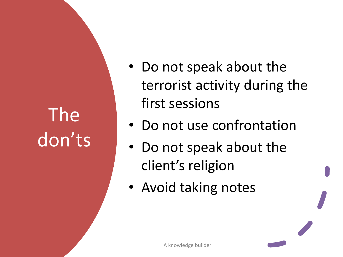# The don'ts

- Do not speak about the terrorist activity during the first sessions
- Do not use confrontation
- Do not speak about the client's religion
- Avoid taking notes